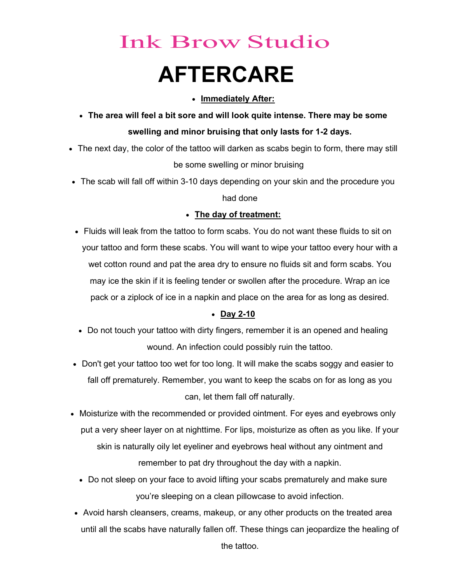# Ink Brow Studio AFTERCARE

### • Immediately After:

- The area will feel a bit sore and will look quite intense. There may be some swelling and minor bruising that only lasts for 1-2 days.
- The next day, the color of the tattoo will darken as scabs begin to form, there may still be some swelling or minor bruising
- The scab will fall off within 3-10 days depending on your skin and the procedure you had done

# • The day of treatment:

 Fluids will leak from the tattoo to form scabs. You do not want these fluids to sit on your tattoo and form these scabs. You will want to wipe your tattoo every hour with a wet cotton round and pat the area dry to ensure no fluids sit and form scabs. You may ice the skin if it is feeling tender or swollen after the procedure. Wrap an ice pack or a ziplock of ice in a napkin and place on the area for as long as desired.

# Day 2-10

- Do not touch your tattoo with dirty fingers, remember it is an opened and healing wound. An infection could possibly ruin the tattoo.
- Don't get your tattoo too wet for too long. It will make the scabs soggy and easier to fall off prematurely. Remember, you want to keep the scabs on for as long as you can, let them fall off naturally.
- Moisturize with the recommended or provided ointment. For eyes and eyebrows only put a very sheer layer on at nighttime. For lips, moisturize as often as you like. If your skin is naturally oily let eyeliner and eyebrows heal without any ointment and remember to pat dry throughout the day with a napkin.
	- Do not sleep on your face to avoid lifting your scabs prematurely and make sure you're sleeping on a clean pillowcase to avoid infection.
- Avoid harsh cleansers, creams, makeup, or any other products on the treated area until all the scabs have naturally fallen off. These things can jeopardize the healing of

the tattoo.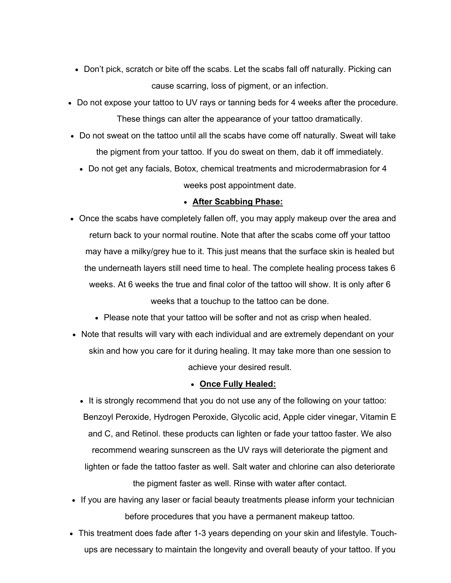- Don't pick, scratch or bite off the scabs. Let the scabs fall off naturally. Picking can cause scarring, loss of pigment, or an infection.
- Do not expose your tattoo to UV rays or tanning beds for 4 weeks after the procedure. These things can alter the appearance of your tattoo dramatically.
- Do not sweat on the tattoo until all the scabs have come off naturally. Sweat will take the pigment from your tattoo. If you do sweat on them, dab it off immediately.
	- Do not get any facials, Botox, chemical treatments and microdermabrasion for 4 weeks post appointment date.

#### • After Scabbing Phase:

- Once the scabs have completely fallen off, you may apply makeup over the area and return back to your normal routine. Note that after the scabs come off your tattoo may have a milky/grey hue to it. This just means that the surface skin is healed but the underneath layers still need time to heal. The complete healing process takes 6 weeks. At 6 weeks the true and final color of the tattoo will show. It is only after 6 weeks that a touchup to the tattoo can be done.
	- Please note that your tattoo will be softer and not as crisp when healed.
- Note that results will vary with each individual and are extremely dependant on your skin and how you care for it during healing. It may take more than one session to achieve your desired result.

#### • Once Fully Healed:

- It is strongly recommend that you do not use any of the following on your tattoo: Benzoyl Peroxide, Hydrogen Peroxide, Glycolic acid, Apple cider vinegar, Vitamin E and C, and Retinol. these products can lighten or fade your tattoo faster. We also recommend wearing sunscreen as the UV rays will deteriorate the pigment and lighten or fade the tattoo faster as well. Salt water and chlorine can also deteriorate the pigment faster as well. Rinse with water after contact.
- If you are having any laser or facial beauty treatments please inform your technician before procedures that you have a permanent makeup tattoo.
- This treatment does fade after 1-3 years depending on your skin and lifestyle. Touchups are necessary to maintain the longevity and overall beauty of your tattoo. If you